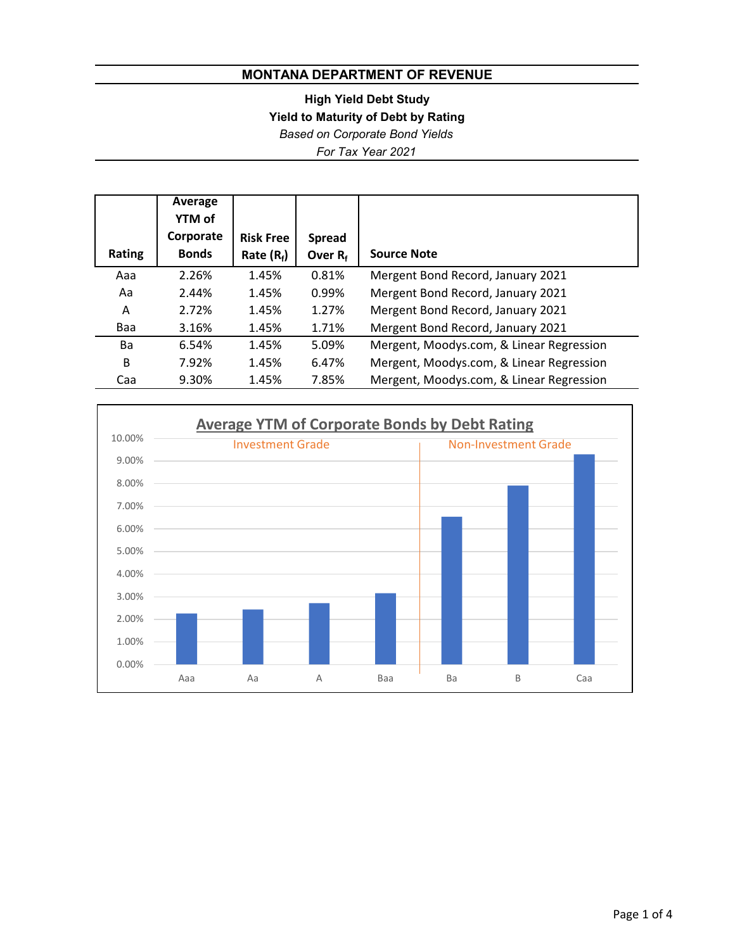**High Yield Debt Study**

**Yield to Maturity of Debt by Rating**

*Based on Corporate Bond Yields*

*For Tax Year 2021*

|               | Average<br>YTM of |                  |               |                                          |
|---------------|-------------------|------------------|---------------|------------------------------------------|
|               | Corporate         | <b>Risk Free</b> | <b>Spread</b> |                                          |
| <b>Rating</b> | <b>Bonds</b>      | Rate $(R_f)$     | Over $R_f$    | <b>Source Note</b>                       |
| Aaa           | 2.26%             | 1.45%            | 0.81%         | Mergent Bond Record, January 2021        |
| Aa            | 2.44%             | 1.45%            | 0.99%         | Mergent Bond Record, January 2021        |
| A             | 2.72%             | 1.45%            | 1.27%         | Mergent Bond Record, January 2021        |
| Baa           | 3.16%             | 1.45%            | 1.71%         | Mergent Bond Record, January 2021        |
| Ba            | 6.54%             | 1.45%            | 5.09%         | Mergent, Moodys.com, & Linear Regression |
| B             | 7.92%             | 1.45%            | 6.47%         | Mergent, Moodys.com, & Linear Regression |
| Caa           | 9.30%             | 1.45%            | 7.85%         | Mergent, Moodys.com, & Linear Regression |

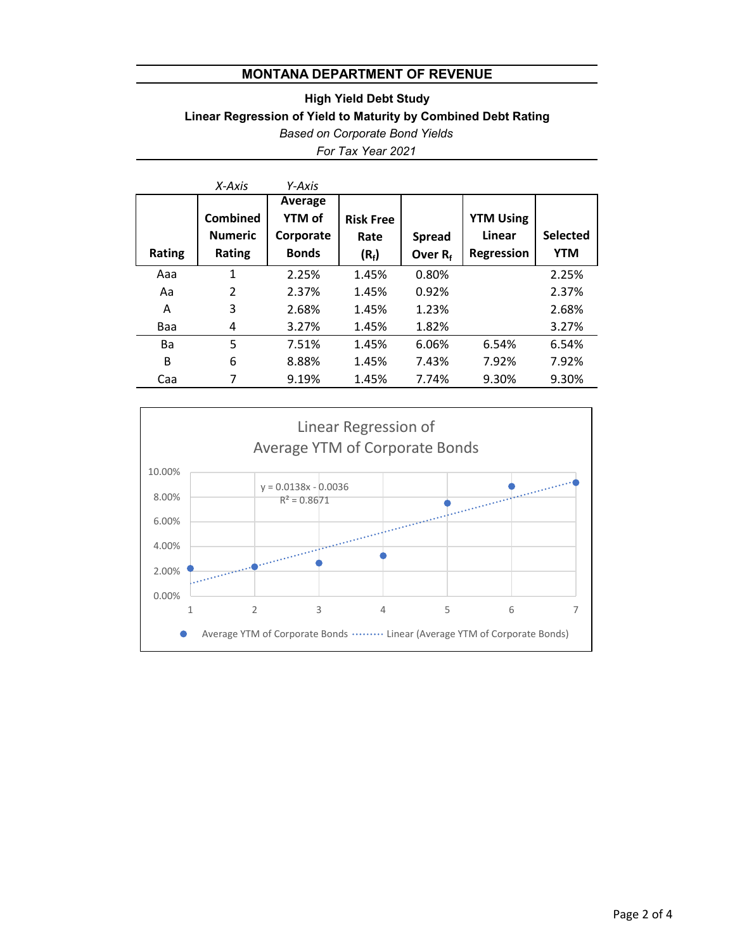## *For Tax Year 2021 Based on Corporate Bond Yields* **Linear Regression of Yield to Maturity by Combined Debt Rating High Yield Debt Study**

|               | $X-Axis$                                    | Y-Axis                                                |                                     |                             |                                                 |                               |
|---------------|---------------------------------------------|-------------------------------------------------------|-------------------------------------|-----------------------------|-------------------------------------------------|-------------------------------|
| <b>Rating</b> | <b>Combined</b><br><b>Numeric</b><br>Rating | Average<br><b>YTM of</b><br>Corporate<br><b>Bonds</b> | <b>Risk Free</b><br>Rate<br>$(R_f)$ | <b>Spread</b><br>Over $R_f$ | <b>YTM Using</b><br>Linear<br><b>Regression</b> | <b>Selected</b><br><b>YTM</b> |
| Aaa           | 1                                           | 2.25%                                                 | 1.45%                               | 0.80%                       |                                                 | 2.25%                         |
| Aa            | $\mathcal{P}$                               | 2.37%                                                 | 1.45%                               | 0.92%                       |                                                 | 2.37%                         |
| A             | 3                                           | 2.68%                                                 | 1.45%                               | 1.23%                       |                                                 | 2.68%                         |
| Baa           | 4                                           | 3.27%                                                 | 1.45%                               | 1.82%                       |                                                 | 3.27%                         |
| <b>Ba</b>     | 5                                           | 7.51%                                                 | 1.45%                               | 6.06%                       | 6.54%                                           | 6.54%                         |
| B             | 6                                           | 8.88%                                                 | 1.45%                               | 7.43%                       | 7.92%                                           | 7.92%                         |
| Caa           | 7                                           | 9.19%                                                 | 1.45%                               | 7.74%                       | 9.30%                                           | 9.30%                         |

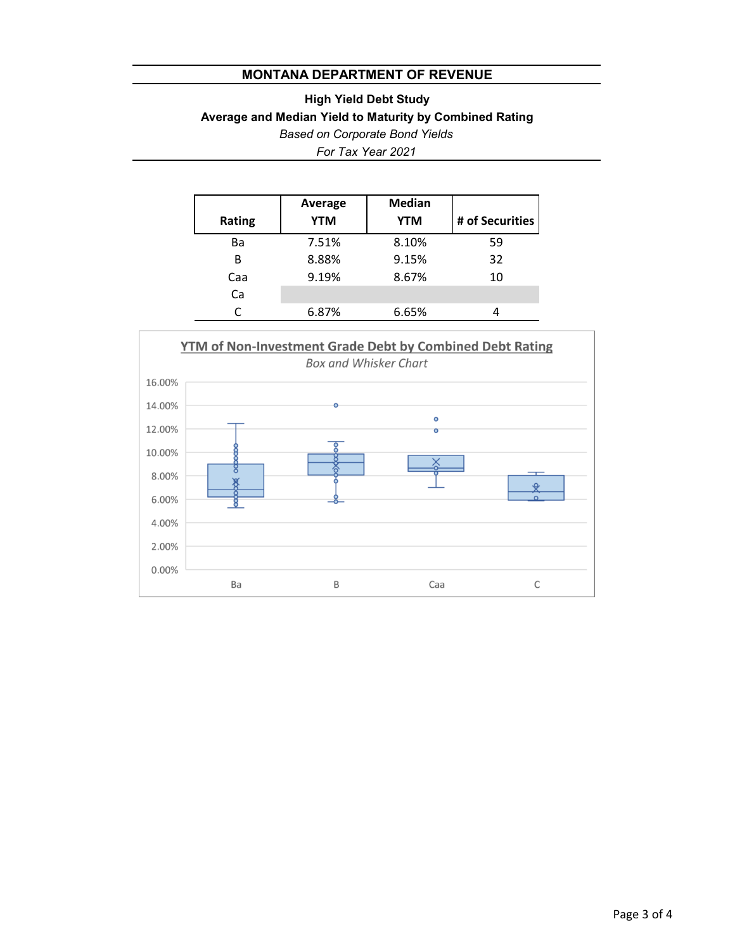# *Based on Corporate Bond Yields* **Average and Median Yield to Maturity by Combined Rating High Yield Debt Study**

*For Tax Year 2021*

| <b>Rating</b> | Average<br><b>YTM</b> | <b>Median</b><br><b>YTM</b> | # of Securities |
|---------------|-----------------------|-----------------------------|-----------------|
| Ba            | 7.51%                 | 8.10%                       | 59              |
| R             | 8.88%                 | 9.15%                       | 32              |
| Caa           | 9.19%                 | 8.67%                       | 10              |
| Ca            |                       |                             |                 |
|               | 6.87%                 | 6.65%                       |                 |

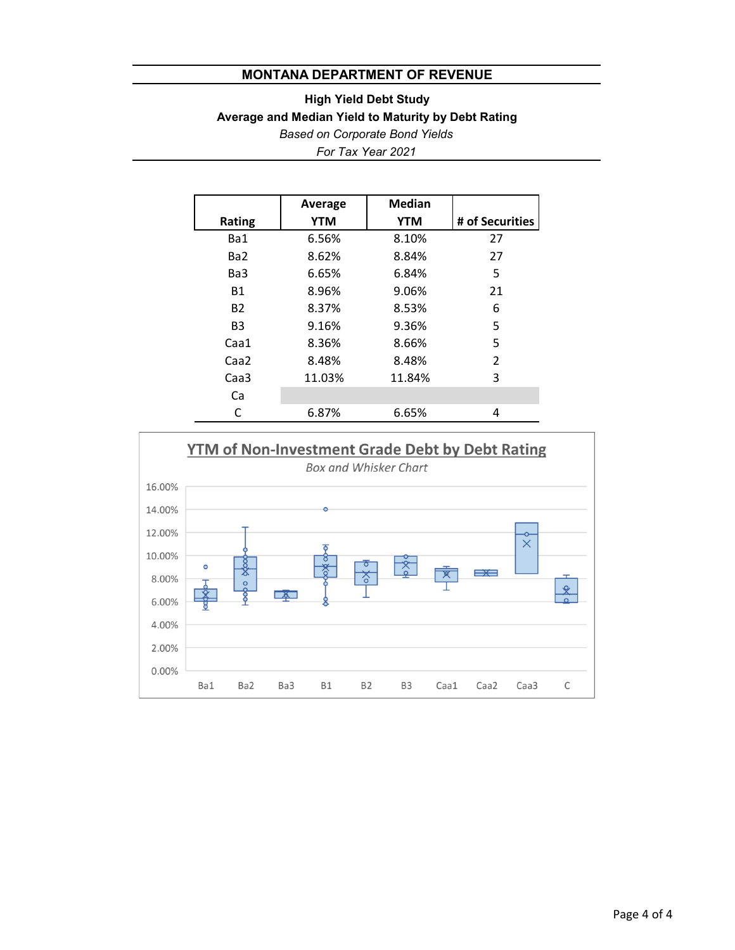## **High Yield Debt Study Average and Median Yield to Maturity by Debt Rating** *Based on Corporate Bond Yields*

*For Tax Year 2021*

|                  | Average    | <b>Median</b> |                 |
|------------------|------------|---------------|-----------------|
| <b>Rating</b>    | <b>YTM</b> | <b>YTM</b>    | # of Securities |
| Ba1              | 6.56%      | 8.10%         | 27              |
| Ba <sub>2</sub>  | 8.62%      | 8.84%         | 27              |
| Ba3              | 6.65%      | 6.84%         | 5               |
| <b>B1</b>        | 8.96%      | 9.06%         | 21              |
| <b>B2</b>        | 8.37%      | 8.53%         | 6               |
| B <sub>3</sub>   | 9.16%      | 9.36%         | 5               |
| Caa1             | 8.36%      | 8.66%         | 5               |
| Caa <sub>2</sub> | 8.48%      | 8.48%         | 2               |
| Caa <sub>3</sub> | 11.03%     | 11.84%        | 3               |
| Ca               |            |               |                 |
|                  | 6.87%      | 6.65%         | 4               |

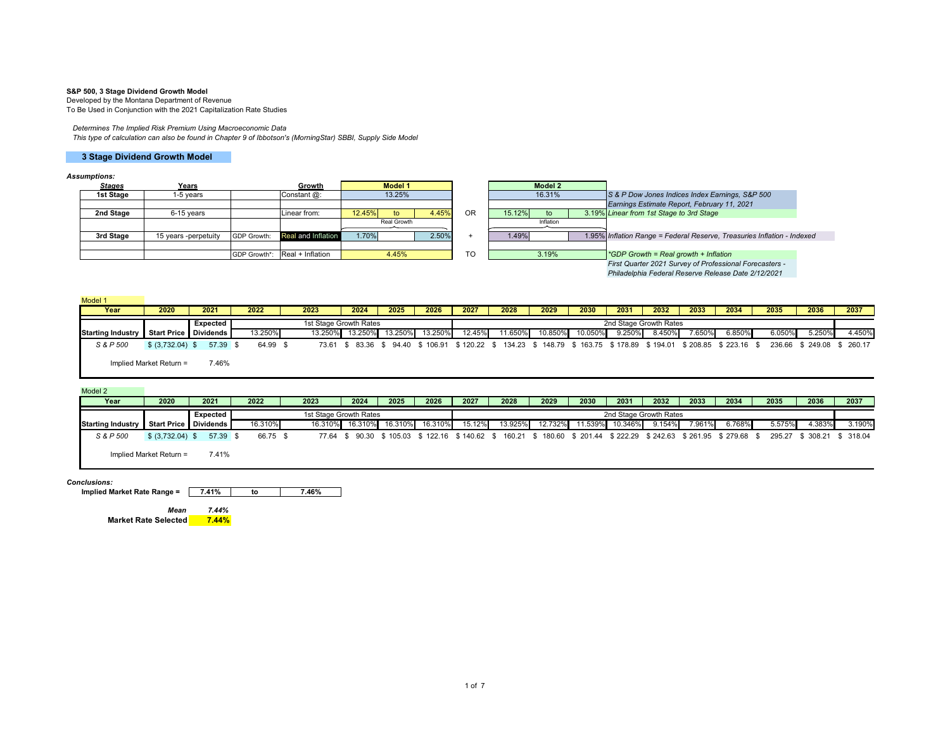### **S&P 500, 3 Stage Dividend Growth Model**

Developed by the Montana Department of Revenue To Be Used in Conjunction with the 2021 Capitalization Rate Studies

### *Determines The Implied Risk Premium Using Macroeconomic Data*

*This type of calculation can also be found in Chapter 9 of Ibbotson's (MorningStar) SBBI, Supply Side Model*

### **3 Stage Dividend Growth Model**

#### *Assumptions:*

| <b>Stages</b> | Years                |             | Growth                        |        | <b>Model 1</b> |       |           |        | Model 2   |                                                                         |  |
|---------------|----------------------|-------------|-------------------------------|--------|----------------|-------|-----------|--------|-----------|-------------------------------------------------------------------------|--|
| 1st Stage     | 1-5 years            |             | Constant @:                   |        | 13.25%         |       |           |        | 16.31%    | S & P Dow Jones Indices Index Earnings, S&P 500                         |  |
|               |                      |             |                               |        |                |       |           |        |           | Earnings Estimate Report, February 11, 2021                             |  |
| 2nd Stage     | 6-15 vears           |             | Linear from:                  | 12.45% | to             | 4.45% | <b>OR</b> | 15.12% | to        | 3.19% Linear from 1st Stage to 3rd Stage                                |  |
|               |                      |             |                               |        | Real Growth    |       |           |        | Inflation |                                                                         |  |
| 3rd Stage     | 15 years -perpetuity | GDP Growth: | Real and Inflation            | 1.70%  |                | 2.50% |           | 1.49%  |           | 1.95% Inflation Range = Federal Reserve, Treasuries Inflation - Indexed |  |
|               |                      |             |                               |        |                |       |           |        |           |                                                                         |  |
|               |                      |             | GDP Growth*: Real + Inflation |        | 4.45%          |       | <b>TO</b> |        | 3.19%     | *GDP Growth = Real growth + Inflation                                   |  |
|               |                      |             |                               |        |                |       |           |        |           | First Quarter 2021 Survey of Professional Forecasters -                 |  |
|               |                      |             |                               |        |                |       |           |        |           | Philadelphia Federal Reserve Release Date 2/12/2021                     |  |

| Model 1                                 |                         |          |          |         |                                   |                 |         |           |         |         |         |        |                        |        |                                                                            |        |                            |        |
|-----------------------------------------|-------------------------|----------|----------|---------|-----------------------------------|-----------------|---------|-----------|---------|---------|---------|--------|------------------------|--------|----------------------------------------------------------------------------|--------|----------------------------|--------|
| Year                                    | 2020                    | 2021     | 2022     | 2023    | 2024                              | 2025            | 2026    | 2027      | 2028    | 2029    | 2030    | 2031   | 2032                   | 2033   | 2034                                                                       | 2035   | 2036                       | 2037   |
|                                         |                         | Expected |          |         | 1st Stage Growth Rates            |                 |         |           |         |         |         |        | 2nd Stage Growth Rates |        |                                                                            |        |                            |        |
| Starting Industry Start Price Dividends |                         |          | 13.250%  | 13.250% |                                   | 13.250% 13.250% | 13.250% | $12.45\%$ | 11.650% | 10.850% | 10.050% | 9.250% | 8.450%                 | 7.650% | 6.850%                                                                     | 6.050% | 5.250%                     | 4.450% |
| S & P 500                               | \$ (3,732.04) \$        | 57.39 \$ | 64.99 \$ |         | 73.61 \$ 83.36 \$ 94.40 \$ 106.91 |                 |         |           |         |         |         |        |                        |        | \$120.22 \$134.23 \$148.79 \$163.75 \$178.89 \$194.01 \$208.85 \$223.16 \$ |        | 236.66 \$ 249.08 \$ 260.17 |        |
|                                         | Implied Market Return = | 7.46%    |          |         |                                   |                 |         |           |         |         |         |        |                        |        |                                                                            |        |                            |        |

#### Model 2 **Year**

| Year                     | 2020                    | 2021     | 2022     | 2023    | 2024                   | 2025            | 2026 | 2027   | 2028    | 2029    | 2030    | 2031                   | 2032   | 2033      | 2034                                                                                                                  | 2035   | 2036  | 2037                       |
|--------------------------|-------------------------|----------|----------|---------|------------------------|-----------------|------|--------|---------|---------|---------|------------------------|--------|-----------|-----------------------------------------------------------------------------------------------------------------------|--------|-------|----------------------------|
|                          |                         | Expected |          |         | 1st Stage Growth Rates |                 |      |        |         |         |         | 2nd Stage Growth Rates |        |           |                                                                                                                       |        |       |                            |
| <b>Starting Industry</b> | Start Price Dividends   |          | 16.310%  | 16.310% | 16.310%                | 16.310% 16.310% |      | 15.12% | 13.925% | 12.732% | 11.539% | 10.346%                | 9.154% | $7.961\%$ | $6.768\%$                                                                                                             | 5.575% | .383% | 3.190%                     |
| S & P 500                | $$ (3.732.04)$ \$       | 57.39 \$ | 66.75 \$ |         |                        |                 |      |        |         |         |         |                        |        |           | 77.64 \$ 90.30 \$ 105.03 \$ 122.16 \$ 140.62 \$ 160.21 \$ 180.60 \$ 201.44 \$ 222.29 \$ 242.63 \$ 261.95 \$ 279.68 \$ |        |       | 295.27 \$ 308.21 \$ 318.04 |
|                          | Implied Market Return = | 7.41%    |          |         |                        |                 |      |        |         |         |         |                        |        |           |                                                                                                                       |        |       |                            |

#### *Conclusions:*

**Implied Market Rate Range = 7.41% to 7.46%**

*Mean 7.44%* $7.44%$ **Market Rate Selected 7.44%**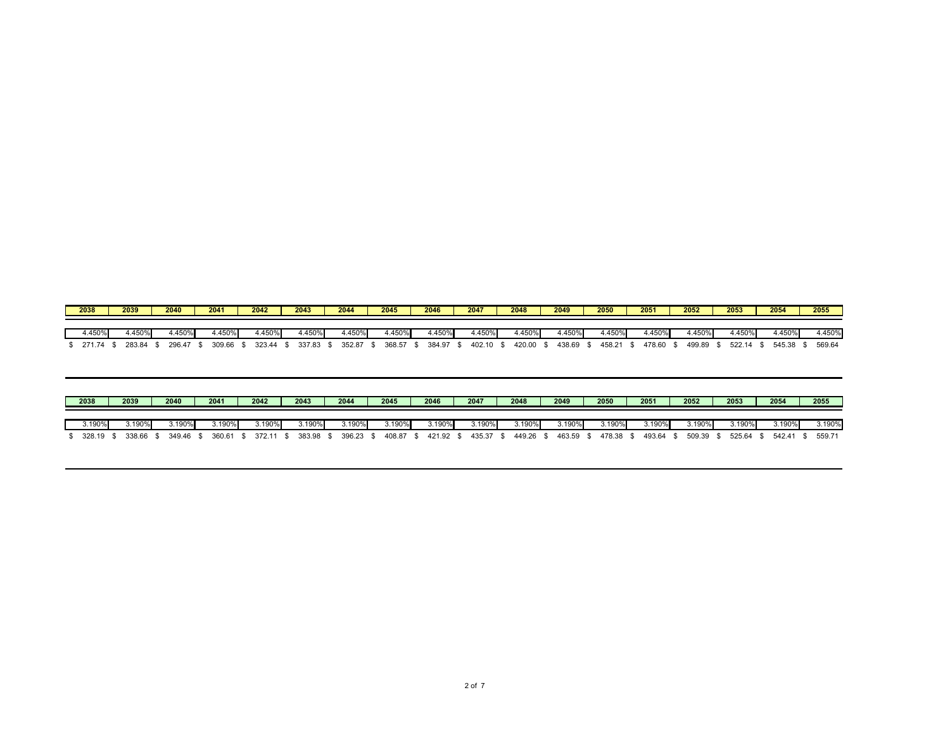| 2038 |        | 2039   | 2040   | 2041   | 2042   | 2043   | 2044   | 2045   | 2046   | 2047   | 2048   |               | 2049   | 2050   | 2051   | 2052    | 2053   | 2054 |        | 2055   |
|------|--------|--------|--------|--------|--------|--------|--------|--------|--------|--------|--------|---------------|--------|--------|--------|---------|--------|------|--------|--------|
|      |        |        |        |        |        |        |        |        |        |        |        |               |        |        |        |         |        |      |        |        |
|      | 4.450% | 4.450% | 4.450% | 1.450% | 4.450% | 4.450% | 1.450% | 1.450% | .450%  | 4.450% |        | <b>1.450%</b> | 1.450% | 4.450% | 1.450% | $+450%$ |        |      | 4.450% | 4.450% |
|      | 271.74 | 283.84 | 296.47 | 309.66 | 323.44 | 337.83 | 352.87 | 368.57 | 384.97 | 402.10 | 420.00 |               | 438.69 | 458.21 | 478.60 | 499.89  | 522.14 |      | 545.38 | 569.64 |

| 2038      | 2039   | 2040 |        | 2041   | 2042 |        | 2043   | 2044   | 2045    | 2046   | 2047   | 2048   | 2049   | 2050   | 2051   | 2052      | 2053   | 2054   | 2055   |  |
|-----------|--------|------|--------|--------|------|--------|--------|--------|---------|--------|--------|--------|--------|--------|--------|-----------|--------|--------|--------|--|
| 3.190%    | 3.190% |      | 3.190% | 3.190% |      | 3.190% | 3.190% | 3.190% | ا 190%. | 3.190% | 3.190% | 3.190% | 3.190% | 3.190% | 190%،د |           | 3.190% | 3.190% | 3.190% |  |
| 328.19 \$ | 338.66 |      | 349.46 | 360.61 |      | 372.11 | 383.98 | 396.23 | 408.87  | 421.92 | 435.37 | 449.26 | 463.59 | 478.38 | 493.64 | 509.39 \$ | 525.64 | 542.41 | 559.71 |  |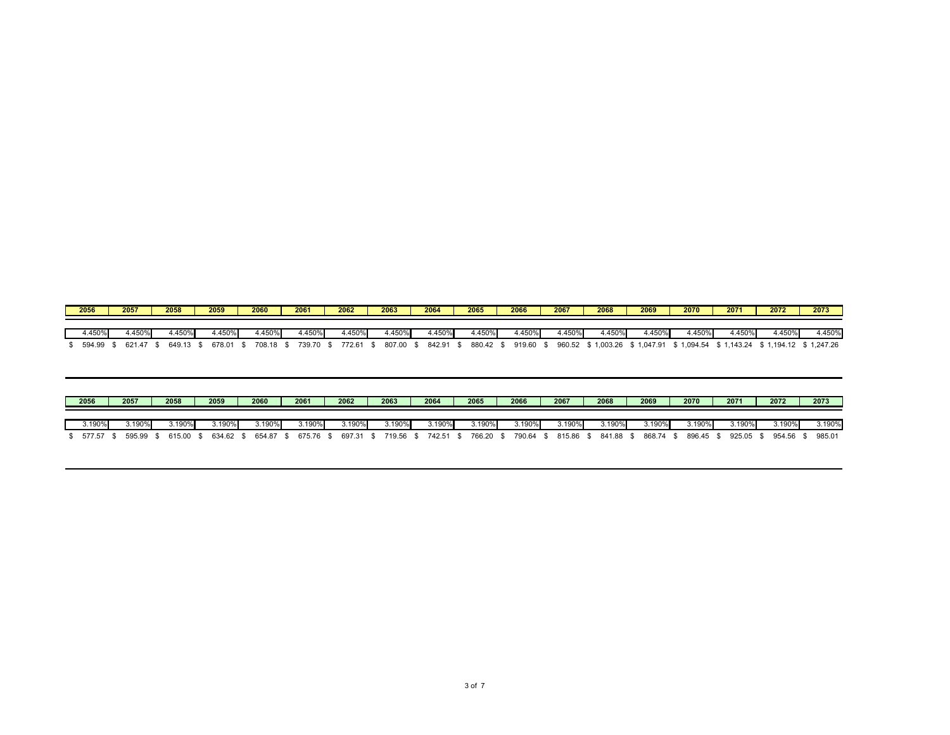| 2056 |        | 2057   | 2058   | 2059   |        | 2060   | 2061   | 2062   | 2063   | 2064   | 2065   | 2066   | 2067   | 2068       | 2069     | 2070   | 2071                   | 2072                  | 2073   |
|------|--------|--------|--------|--------|--------|--------|--------|--------|--------|--------|--------|--------|--------|------------|----------|--------|------------------------|-----------------------|--------|
|      |        |        |        |        |        |        |        |        |        |        |        |        |        |            |          |        |                        |                       |        |
|      | 4.450% | 4.450% | 4.450% |        | 4.450% | 4.450% | 4.450% | 4.450% | 1.450% | .450%  | 4.450% | 4.450% | 4.450% | 4.450%     | 4.450%   | 4.450% | 4.450%                 | 4.450%                | 4.450% |
|      | 594.99 | 621.47 | 649.13 | 678.01 |        | 708.18 | 739.70 | 772.61 | 807.00 | 842.91 | 880.42 | 919.60 | 960.52 | \$1,003.26 | 1,047.91 |        | 3 1,094.54 \$ 1,143.24 | \$1,194.12 \$1,247.26 |        |

| 2056      | 2057   | 2058   | 2059   | 2060   | 2061   | 2062      | 2063      | 2064   | 2065   | 2066   | 2067   | 2068      | 2069 |           | 2070      | 2071      | 2072   | 2073   |
|-----------|--------|--------|--------|--------|--------|-----------|-----------|--------|--------|--------|--------|-----------|------|-----------|-----------|-----------|--------|--------|
| $3.190\%$ | 3.190% | 3.190% | 3.190% | 3.190% | .190%  | 3.190%    |           | 3.190% | 3.190% | 3.190% | 3.190% | .190%     |      | $3.190\%$ |           | 3.190%    | 3.190% | 3.190% |
| 577.57 \$ | 595.99 | 615.00 | 634.62 | 654.87 | 675.76 | 697.31 \$ | 719.56 \$ | 742.51 | 766.20 | 790.64 | 815.86 | 841.88 \$ |      | 868.74 ఒ  | 896.45 \$ | 925.05 \$ | 954.56 | 985.01 |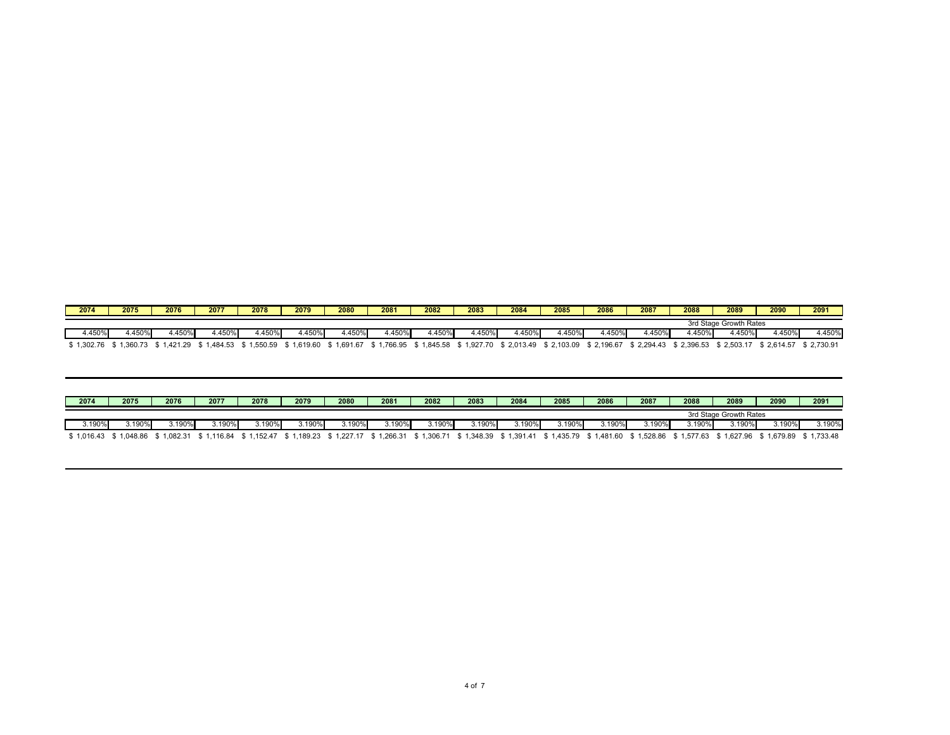| 2074    | 2075    | 2076   | 2077    | 2078     | 2079     | 2080    | 2081    | 2082     | 2083                   | 2084     | 2085   | 2086     | 2087           | 2088     | 2089                   | 2090     | 2091     |
|---------|---------|--------|---------|----------|----------|---------|---------|----------|------------------------|----------|--------|----------|----------------|----------|------------------------|----------|----------|
|         |         |        |         |          |          |         |         |          |                        |          |        |          |                |          | 3rd Stage Growth Rates |          |          |
| 1.450%  | $+450°$ | 450%   | .450%   | .450%    | 4.450%   | .450%   | $+450%$ | $+450%$  | 4.450%l                | 1.450%   | 1.450% | .4509    | $.450^{\circ}$ | .450%    | 450%                   | 4.450%   | 1.450%   |
| ,302.76 | ,360.73 | 421.20 | .484.53 | 550.59,، | 1,619.60 | .691.67 | .766.95 | i,845.58 | .927<br>$\overline{1}$ | 2,013.49 | 103.09 | 2,196.67 | 2,294.43       | 2,396.53 | $^*$ 2,503.1           | 2,614.57 | 2,730.91 |

| 2074   | 2075                | 2076     | 2077    | 2078       | 2079    | 2080                | 2081    | 2082       | 2083    | 2084     | 2085       | 2086  | 2087                | 2088       | 2089                   | 2090     | 2091     |
|--------|---------------------|----------|---------|------------|---------|---------------------|---------|------------|---------|----------|------------|-------|---------------------|------------|------------------------|----------|----------|
|        |                     |          |         |            |         |                     |         |            |         |          |            |       |                     |            | 3rd Stage Growth Rates |          |          |
| 3.190% | 3.190 <sup>6</sup>  | 3.190%   | 3.190%  | 3.190%     | 3.190%  | .190%               | .190%   | $3.190\%$  | 3.190%  | 3.190%   | 3.190%l    | .190% | 3.190%              |            | 3.190%                 | 3.190%   | 3.190%   |
|        | 1.016.43 \$1.048.86 | 1.082.31 | .116.84 | \$1.152.47 | .189.23 | $^{\circ}$ 1.227.17 | .266.31 | \$1.306.71 | .348.39 | 1.391.41 | \$1,435.79 |       | 1,481.60 \$1,528.86 | ì 1.577.63 | \$1.627.96             | 1.679.89 | 1,733.48 |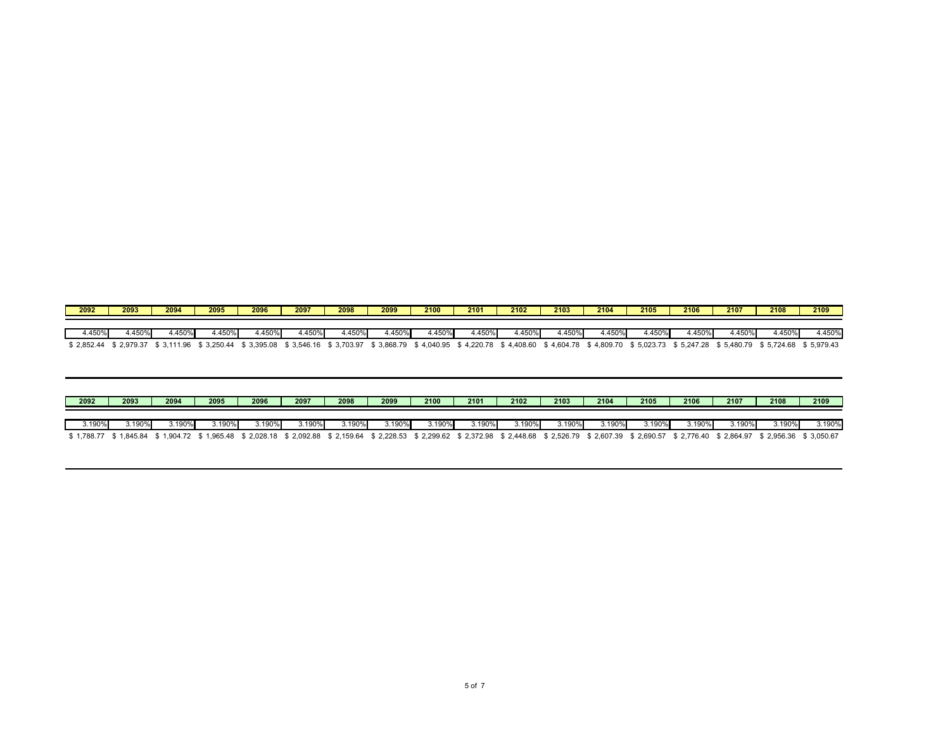| 2092   | 2093   | 2094   | 2095  | 2096  | 2097   | 2098    | 2099   | 2100     | 2101   | 2102   | 2103   | 2104    | 2105  | 2106   | 2107   | 2108   | 2109   |
|--------|--------|--------|-------|-------|--------|---------|--------|----------|--------|--------|--------|---------|-------|--------|--------|--------|--------|
|        |        |        |       |       |        |         |        |          |        |        |        |         |       |        |        |        |        |
| 4.450% | 1.450% | 4.450% | .450% | .450% | 4.450% | $+450%$ | 4.450% | $.450\%$ | 4.450% | 4.450% | 4.450% | $+450%$ | .450% | 1.450% | 4.450% | 4.450% | 4.450% |
|        |        |        |       |       |        |         |        |          |        |        |        |         |       |        |        |        |        |

| 2092 | 2093 | 2094  | 2095      | 2096   | 2097     | 2098    | 2099  | 2100      | 2101      | 2102   | 2103   | 2104  | 2105  | 2106 | 2107   | 2108                                                                                                                                                                                                  | 2109      |
|------|------|-------|-----------|--------|----------|---------|-------|-----------|-----------|--------|--------|-------|-------|------|--------|-------------------------------------------------------------------------------------------------------------------------------------------------------------------------------------------------------|-----------|
|      |      | .190% | $3.190\%$ | 3.190% | ا%190. د | 3.190%l | .190% | $3.190\%$ | $3.190\%$ | 8.190% | 3.190% | .190% | 190%، |      | 3.190% | 3.190%                                                                                                                                                                                                | $3.190\%$ |
|      |      |       |           |        |          |         |       |           |           |        |        |       |       |      |        | \$1,788.77 \$1,845.84 \$1,904.72 \$1,965.48 \$2,028.18 \$2,092.88 \$2,159.64 \$2,228.53 \$2,299.62 \$2,372.98 \$2,448.68 \$2,526.79 \$2,607.39 \$2,690.57 \$2,776.40 \$2,864.97 \$2,956.36 \$3,050.67 |           |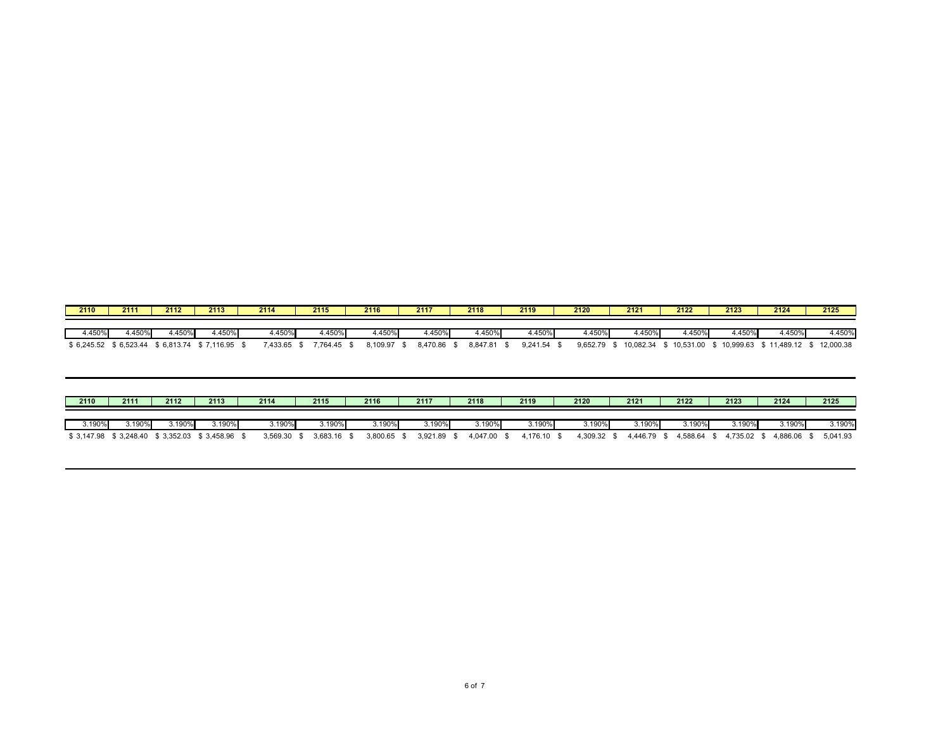| 2110       | 2111       | 2112       | 2113       | 2114     | 2115     | 2116     | 2117    | 2118     | 2119          | 2120               | 2121      | 2122      | 2123      | 2124      | 2125      |
|------------|------------|------------|------------|----------|----------|----------|---------|----------|---------------|--------------------|-----------|-----------|-----------|-----------|-----------|
|            |            |            |            |          |          |          |         |          |               |                    |           |           |           |           |           |
| +.450%     | I.450%     | 4.450%     | 4.450%     | $.450\%$ | 4.450%   | 4.450%   | 1.450%  | $+450%$  | +.450%        | 4.450 <sup>c</sup> | 4.450%    | 4.450%    | 4.450%    | 4.450%    | 1.450%    |
| \$6,245.52 | \$6,523.44 | \$6,813.74 | \$7,116.95 | 7,433.65 | 7.764.45 | 3,109.97 | 470.86. | 8.847.81 | $9.241.54$ \$ | 9,652.79           | 10,082.34 | 10,531.00 | 10,999.63 | 11,489.12 | 12,000.38 |

| 2110   | 2111     | 2112   | 2113                                           | 2114          | 2115     | 2116     | 2117        | 2118        | 2119        | 2120        | 2121      | 2122                 | 2123        | 2124        | 2125     |
|--------|----------|--------|------------------------------------------------|---------------|----------|----------|-------------|-------------|-------------|-------------|-----------|----------------------|-------------|-------------|----------|
| 3.190% | ا%190. 3 | 3.190% | 3.190%                                         | 3.190%l       | 3.190%   | 3.190%   | 3.190%      | $3.190\%$   | 3.190%      | $5.190\%$   | $3.190\%$ | 3.190%               | ,190%       | $3.190\%$   | 3.190%   |
|        |          |        | \$3,147.98 \$3,248.40 \$3,352.03 \$3,458.96 \$ | $3,569.30$ \$ | 3,683.16 | 3.800.65 | 3,921.89 \$ | 4.047.00 \$ | 4.176.10 \$ | 4.309.32 \$ |           | 4,446.79 \$ 4,588.64 | 4.735.02 \$ | 4.886.06 \$ | 5,041.93 |